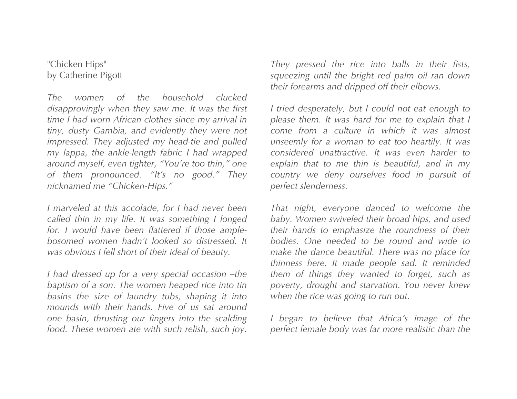"Chicken Hips" by Catherine Pigott

*The women of the household clucked disapprovingly when they saw me. It was the first time I had worn African clothes since my arrival in tiny, dusty Gambia, and evidently they were not impressed. They adjusted my head-tie and pulled my lappa, the ankle-length fabric I had wrapped around myself, even tighter, "You're too thin," one of them pronounced. "It's no good." They nicknamed me "Chicken-Hips."*

*I marveled at this accolade, for I had never been called thin in my life. It was something I longed for. I would have been flattered if those amplebosomed women hadn't looked so distressed. It was obvious I fell short of their ideal of beauty.*

*I had dressed up for a very special occasion –the baptism of a son. The women heaped rice into tin basins the size of laundry tubs, shaping it into mounds with their hands. Five of us sat around one basin, thrusting our fingers into the scalding food. These women ate with such relish, such joy.* 

*They pressed the rice into balls in their fists, squeezing until the bright red palm oil ran down their forearms and dripped off their elbows.*

*I tried desperately, but I could not eat enough to please them. It was hard for me to explain that I come from a culture in which it was almost unseemly for a woman to eat too heartily. It was considered unattractive. It was even harder to explain that to me thin is beautiful, and in my country we deny ourselves food in pursuit of perfect slenderness.*

*That night, everyone danced to welcome the baby. Women swiveled their broad hips, and used their hands to emphasize the roundness of their bodies. One needed to be round and wide to make the dance beautiful. There was no place for thinness here. It made people sad. It reminded them of things they wanted to forget, such as poverty, drought and starvation. You never knew when the rice was going to run out.*

*I began to believe that Africa's image of the perfect female body was far more realistic than the*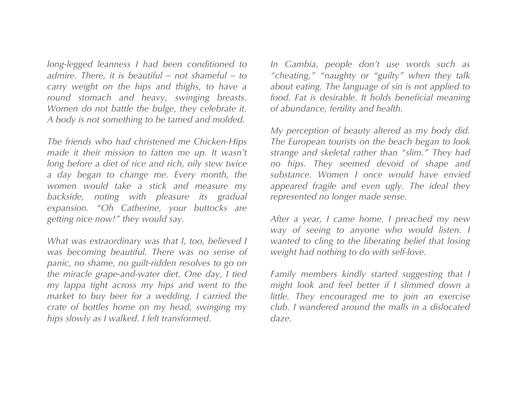*long-legged leanness I had been conditioned to admire. There, it is beautiful – not shameful – to carry weight on the hips and thighs, to have a round stomach and heavy, swinging breasts. Women do not battle the bulge, they celebrate it. A body is not something to be tamed and molded.*

*The friends who had christened me Chicken-Hips made it their mission to fatten me up. It wasn't long before a diet of rice and rich, oily stew twice a day began to change me. Every month, the women would take a stick and measure my backside, noting with pleasure its gradual expansion. "Oh Catherine, your buttocks are getting nice now!" they would say.*

*What was extraordinary was that I, too, believed I was becoming beautiful. There was no sense of panic, no shame, no guilt-ridden resolves to go on the miracle grape-and-water diet. One day, I tied my lappa tight across my hips and went to the market to buy beer for a wedding. I carried the crate of bottles home on my head, swinging my hips slowly as I walked. I felt transformed.*

*In Gambia, people don't use words such as "cheating," "naughty or "guilty" when they talk about eating. The language of sin is not applied to food. Fat is desirable. It holds beneficial meaning of abundance, fertility and health.*

*My perception of beauty altered as my body did. The European tourists on the beach began to look strange and skeletal rather than "slim." They had no hips. They seemed devoid of shape and substance. Women I once would have envied appeared fragile and even ugly. The ideal they represented no longer made sense.*

*After a year, I came home. I preached my new way of seeing to anyone who would listen. I wanted to cling to the liberating belief that losing weight had nothing to do with self-love.*

*Family members kindly started suggesting that I might look and feel better if I slimmed down a little. They encouraged me to join an exercise club. I wandered around the malls in a dislocated daze.*